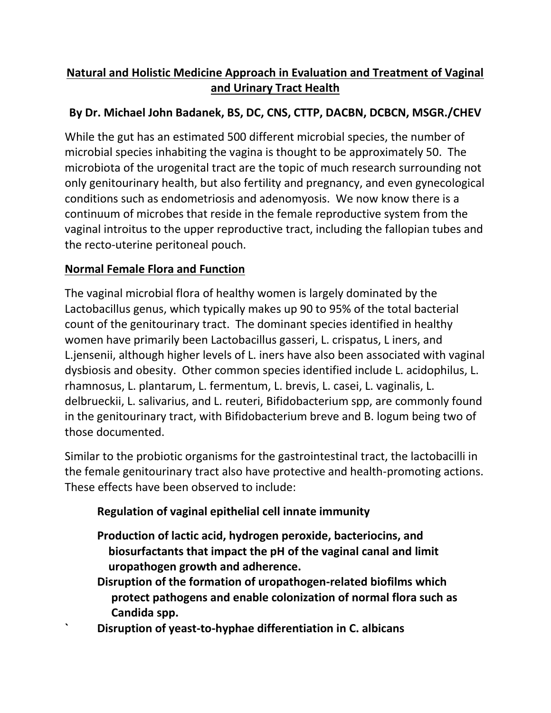# **Natural and Holistic Medicine Approach in Evaluation and Treatment of Vaginal and Urinary Tract Health**

# **By Dr. Michael John Badanek, BS, DC, CNS, CTTP, DACBN, DCBCN, MSGR./CHEV**

While the gut has an estimated 500 different microbial species, the number of microbial species inhabiting the vagina is thought to be approximately 50. The microbiota of the urogenital tract are the topic of much research surrounding not only genitourinary health, but also fertility and pregnancy, and even gynecological conditions such as endometriosis and adenomyosis. We now know there is a continuum of microbes that reside in the female reproductive system from the vaginal introitus to the upper reproductive tract, including the fallopian tubes and the recto-uterine peritoneal pouch.

## **Normal Female Flora and Function**

The vaginal microbial flora of healthy women is largely dominated by the Lactobacillus genus, which typically makes up 90 to 95% of the total bacterial count of the genitourinary tract. The dominant species identified in healthy women have primarily been Lactobacillus gasseri, L. crispatus, L iners, and L.jensenii, although higher levels of L. iners have also been associated with vaginal dysbiosis and obesity. Other common species identified include L. acidophilus, L. rhamnosus, L. plantarum, L. fermentum, L. brevis, L. casei, L. vaginalis, L. delbrueckii, L. salivarius, and L. reuteri, Bifidobacterium spp, are commonly found in the genitourinary tract, with Bifidobacterium breve and B. logum being two of those documented.

Similar to the probiotic organisms for the gastrointestinal tract, the lactobacilli in the female genitourinary tract also have protective and health-promoting actions. These effects have been observed to include:

# **Regulation of vaginal epithelial cell innate immunity**

- **Production of lactic acid, hydrogen peroxide, bacteriocins, and biosurfactants that impact the pH of the vaginal canal and limit uropathogen growth and adherence.**
- **Disruption of the formation of uropathogen-related biofilms which protect pathogens and enable colonization of normal flora such as Candida spp.**
- **` Disruption of yeast-to-hyphae differentiation in C. albicans**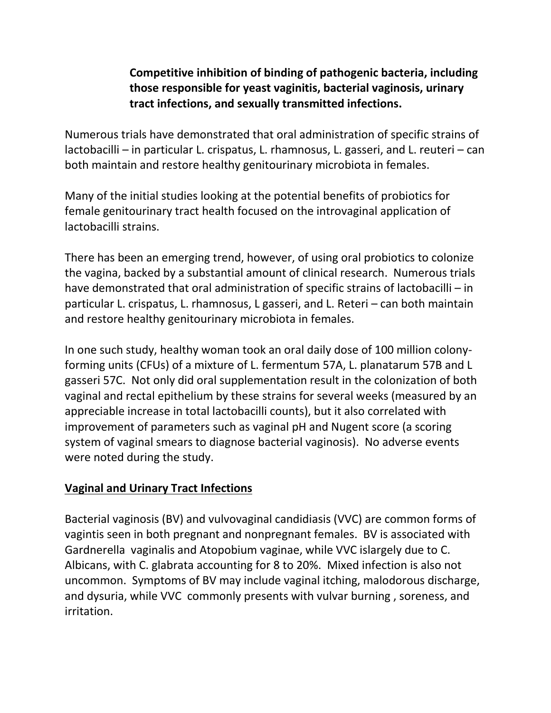### **Competitive inhibition of binding of pathogenic bacteria, including those responsible for yeast vaginitis, bacterial vaginosis, urinary tract infections, and sexually transmitted infections.**

Numerous trials have demonstrated that oral administration of specific strains of lactobacilli – in particular L. crispatus, L. rhamnosus, L. gasseri, and L. reuteri – can both maintain and restore healthy genitourinary microbiota in females.

Many of the initial studies looking at the potential benefits of probiotics for female genitourinary tract health focused on the introvaginal application of lactobacilli strains.

There has been an emerging trend, however, of using oral probiotics to colonize the vagina, backed by a substantial amount of clinical research. Numerous trials have demonstrated that oral administration of specific strains of lactobacilli – in particular L. crispatus, L. rhamnosus, L gasseri, and L. Reteri – can both maintain and restore healthy genitourinary microbiota in females.

In one such study, healthy woman took an oral daily dose of 100 million colonyforming units (CFUs) of a mixture of L. fermentum 57A, L. planatarum 57B and L gasseri 57C. Not only did oral supplementation result in the colonization of both vaginal and rectal epithelium by these strains for several weeks (measured by an appreciable increase in total lactobacilli counts), but it also correlated with improvement of parameters such as vaginal pH and Nugent score (a scoring system of vaginal smears to diagnose bacterial vaginosis). No adverse events were noted during the study.

### **Vaginal and Urinary Tract Infections**

Bacterial vaginosis (BV) and vulvovaginal candidiasis (VVC) are common forms of vagintis seen in both pregnant and nonpregnant females. BV is associated with Gardnerella vaginalis and Atopobium vaginae, while VVC islargely due to C. Albicans, with C. glabrata accounting for 8 to 20%. Mixed infection is also not uncommon. Symptoms of BV may include vaginal itching, malodorous discharge, and dysuria, while VVC commonly presents with vulvar burning , soreness, and irritation.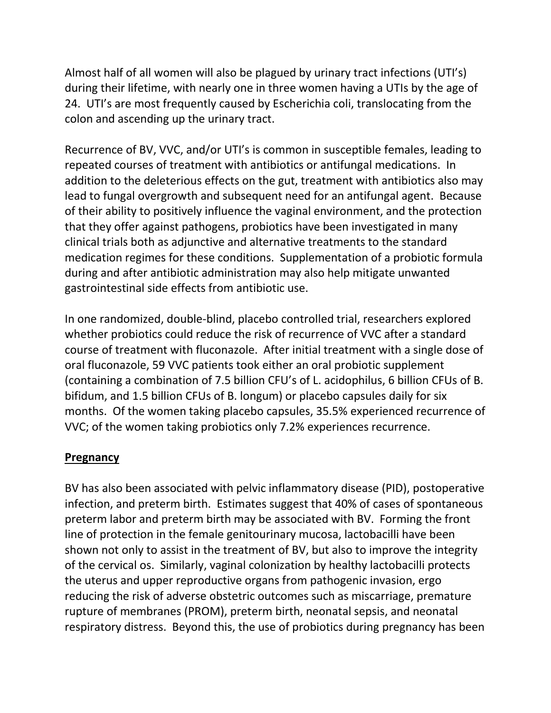Almost half of all women will also be plagued by urinary tract infections (UTI's) during their lifetime, with nearly one in three women having a UTIs by the age of 24. UTI's are most frequently caused by Escherichia coli, translocating from the colon and ascending up the urinary tract.

Recurrence of BV, VVC, and/or UTI's is common in susceptible females, leading to repeated courses of treatment with antibiotics or antifungal medications. In addition to the deleterious effects on the gut, treatment with antibiotics also may lead to fungal overgrowth and subsequent need for an antifungal agent. Because of their ability to positively influence the vaginal environment, and the protection that they offer against pathogens, probiotics have been investigated in many clinical trials both as adjunctive and alternative treatments to the standard medication regimes for these conditions. Supplementation of a probiotic formula during and after antibiotic administration may also help mitigate unwanted gastrointestinal side effects from antibiotic use.

In one randomized, double-blind, placebo controlled trial, researchers explored whether probiotics could reduce the risk of recurrence of VVC after a standard course of treatment with fluconazole. After initial treatment with a single dose of oral fluconazole, 59 VVC patients took either an oral probiotic supplement (containing a combination of 7.5 billion CFU's of L. acidophilus, 6 billion CFUs of B. bifidum, and 1.5 billion CFUs of B. longum) or placebo capsules daily for six months. Of the women taking placebo capsules, 35.5% experienced recurrence of VVC; of the women taking probiotics only 7.2% experiences recurrence.

#### **Pregnancy**

BV has also been associated with pelvic inflammatory disease (PID), postoperative infection, and preterm birth. Estimates suggest that 40% of cases of spontaneous preterm labor and preterm birth may be associated with BV. Forming the front line of protection in the female genitourinary mucosa, lactobacilli have been shown not only to assist in the treatment of BV, but also to improve the integrity of the cervical os. Similarly, vaginal colonization by healthy lactobacilli protects the uterus and upper reproductive organs from pathogenic invasion, ergo reducing the risk of adverse obstetric outcomes such as miscarriage, premature rupture of membranes (PROM), preterm birth, neonatal sepsis, and neonatal respiratory distress. Beyond this, the use of probiotics during pregnancy has been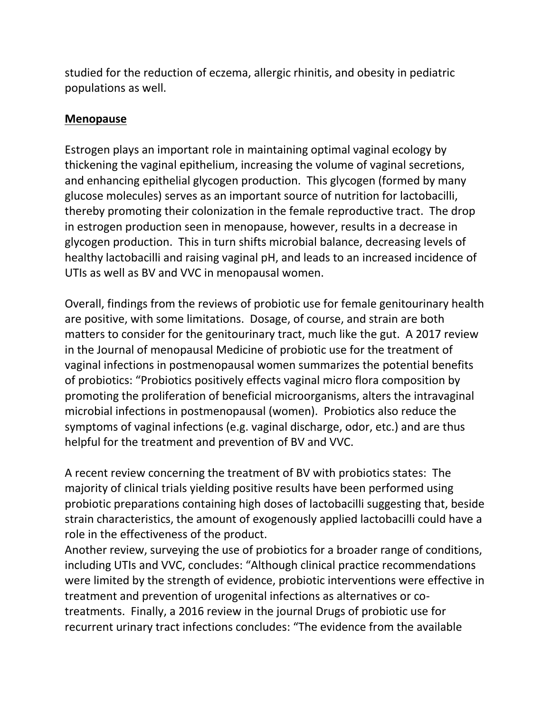studied for the reduction of eczema, allergic rhinitis, and obesity in pediatric populations as well.

#### **Menopause**

Estrogen plays an important role in maintaining optimal vaginal ecology by thickening the vaginal epithelium, increasing the volume of vaginal secretions, and enhancing epithelial glycogen production. This glycogen (formed by many glucose molecules) serves as an important source of nutrition for lactobacilli, thereby promoting their colonization in the female reproductive tract. The drop in estrogen production seen in menopause, however, results in a decrease in glycogen production. This in turn shifts microbial balance, decreasing levels of healthy lactobacilli and raising vaginal pH, and leads to an increased incidence of UTIs as well as BV and VVC in menopausal women.

Overall, findings from the reviews of probiotic use for female genitourinary health are positive, with some limitations. Dosage, of course, and strain are both matters to consider for the genitourinary tract, much like the gut. A 2017 review in the Journal of menopausal Medicine of probiotic use for the treatment of vaginal infections in postmenopausal women summarizes the potential benefits of probiotics: "Probiotics positively effects vaginal micro flora composition by promoting the proliferation of beneficial microorganisms, alters the intravaginal microbial infections in postmenopausal (women). Probiotics also reduce the symptoms of vaginal infections (e.g. vaginal discharge, odor, etc.) and are thus helpful for the treatment and prevention of BV and VVC.

A recent review concerning the treatment of BV with probiotics states: The majority of clinical trials yielding positive results have been performed using probiotic preparations containing high doses of lactobacilli suggesting that, beside strain characteristics, the amount of exogenously applied lactobacilli could have a role in the effectiveness of the product.

Another review, surveying the use of probiotics for a broader range of conditions, including UTIs and VVC, concludes: "Although clinical practice recommendations were limited by the strength of evidence, probiotic interventions were effective in treatment and prevention of urogenital infections as alternatives or cotreatments. Finally, a 2016 review in the journal Drugs of probiotic use for recurrent urinary tract infections concludes: "The evidence from the available